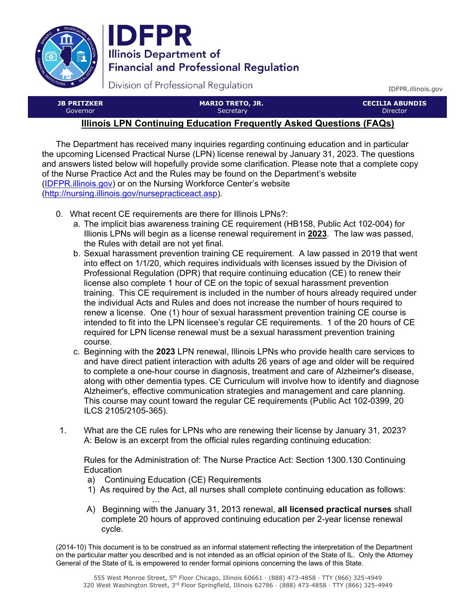



Division of Professional Regulation

IDFPR.illinois.gov

| <b>JB PRITZKER</b> | <b>MARIO TRETO, JR.</b> | <b>CECILIA ABUNDIS</b> |
|--------------------|-------------------------|------------------------|
| Governor           | Secretary               | <b>Director</b>        |
|                    |                         |                        |

## **Illinois LPN Continuing Education Frequently Asked Questions (FAQs)**

The Department has received many inquiries regarding continuing education and in particular the upcoming Licensed Practical Nurse (LPN) license renewal by January 31, 2023. The questions and answers listed below will hopefully provide some clarification. Please note that a complete copy of the Nurse Practice Act and the Rules may be found on the Department's website [\(IDFPR.illinois.gov\)](https://IDFPR.illinois.gov) or on the Nursing Workforce Center's website (http://nursing.illinois.gov/nursepracticeact.asp).

- 0. What recent CE requirements are there for Illinois LPNs?:
	- a. The implicit bias awareness training CE requirement (HB158, Public Act 102-004) for Illionis LPNs will begin as a license renewal requirement in **2023**. The law was passed, the Rules with detail are not yet final.
	- b. Sexual harassment prevention training CE requirement. A law passed in 2019 that went into effect on 1/1/20, which requires individuals with licenses issued by the Division of Professional Regulation (DPR) that require continuing education (CE) to renew their license also complete 1 hour of CE on the topic of sexual harassment prevention training. This CE requirement is included in the number of hours already required under the individual Acts and Rules and does not increase the number of hours required to renew a license. One (1) hour of sexual harassment prevention training CE course is intended to fit into the LPN licensee's regular CE requirements. 1 of the 20 hours of CE required for LPN license renewal must be a sexual harassment prevention training course.
	- c. Beginning with the **2023** LPN renewal, Illinois LPNs who provide health care services to and have direct patient interaction with adults 26 years of age and older will be required to complete a one-hour course in diagnosis, treatment and care of Alzheimer's disease, along with other dementia types. CE Curriculum will involve how to identify and diagnose Alzheimer's, effective communication strategies and management and care planning. This course may count toward the regular CE requirements (Public Act 102-0399, 20 ILCS 2105/2105-365).
- 1. What are the CE rules for LPNs who are renewing their license by January 31, 2023? A: Below is an excerpt from the official rules regarding continuing education:

Rules for the Administration of: The Nurse Practice Act: Section 1300.130 Continuing **Education** 

- a) Continuing Education (CE) Requirements
- 1) As required by the Act, all nurses shall complete continuing education as follows: …
- A) Beginning with the January 31, 2013 renewal, **all licensed practical nurses** shall complete 20 hours of approved continuing education per 2-year license renewal cycle.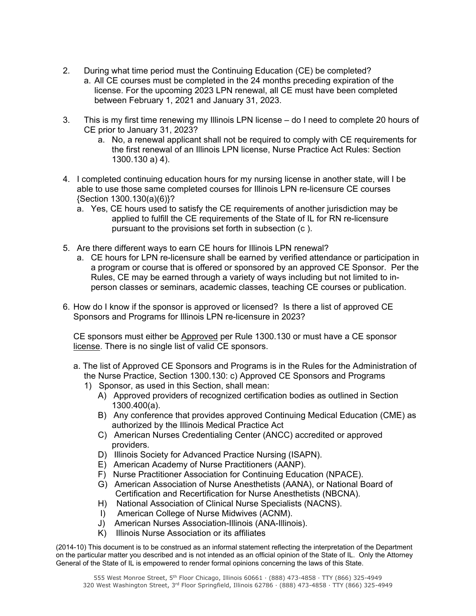- 2. During what time period must the Continuing Education (CE) be completed?
	- a. All CE courses must be completed in the 24 months preceding expiration of the license. For the upcoming 2023 LPN renewal, all CE must have been completed between February 1, 2021 and January 31, 2023.
- 3. This is my first time renewing my Illinois LPN license do I need to complete 20 hours of CE prior to January 31, 2023?
	- a. No, a renewal applicant shall not be required to comply with CE requirements for the first renewal of an Illinois LPN license, Nurse Practice Act Rules: Section 1300.130 a) 4).
- 4. I completed continuing education hours for my nursing license in another state, will I be able to use those same completed courses for Illinois LPN re-licensure CE courses {Section 1300.130(a)(6)}?
	- a. Yes, CE hours used to satisfy the CE requirements of another jurisdiction may be applied to fulfill the CE requirements of the State of IL for RN re-licensure pursuant to the provisions set forth in subsection (c ).
- 5. Are there different ways to earn CE hours for Illinois LPN renewal?
	- a. CE hours for LPN re-licensure shall be earned by verified attendance or participation in a program or course that is offered or sponsored by an approved CE Sponsor. Per the Rules, CE may be earned through a variety of ways including but not limited to inperson classes or seminars, academic classes, teaching CE courses or publication.
- 6. How do I know if the sponsor is approved or licensed? Is there a list of approved CE Sponsors and Programs for Illinois LPN re-licensure in 2023?

CE sponsors must either be Approved per Rule 1300.130 or must have a CE sponsor license. There is no single list of valid CE sponsors.

- a. The list of Approved CE Sponsors and Programs is in the Rules for the Administration of the Nurse Practice, Section 1300.130: c) Approved CE Sponsors and Programs
	- 1) Sponsor, as used in this Section, shall mean:
		- A) Approved providers of recognized certification bodies as outlined in Section 1300.400(a).
		- B) Any conference that provides approved Continuing Medical Education (CME) as authorized by the Illinois Medical Practice Act
		- C) American Nurses Credentialing Center (ANCC) accredited or approved providers.
		- D) Illinois Society for Advanced Practice Nursing (ISAPN).
		- E) American Academy of Nurse Practitioners (AANP).
		- F) Nurse Practitioner Association for Continuing Education (NPACE).
		- G) American Association of Nurse Anesthetists (AANA), or National Board of Certification and Recertification for Nurse Anesthetists (NBCNA).
		- H) National Association of Clinical Nurse Specialists (NACNS).
		- I) American College of Nurse Midwives (ACNM).
		- J) American Nurses Association-Illinois (ANA-Illinois).
		- K) Illinois Nurse Association or its affiliates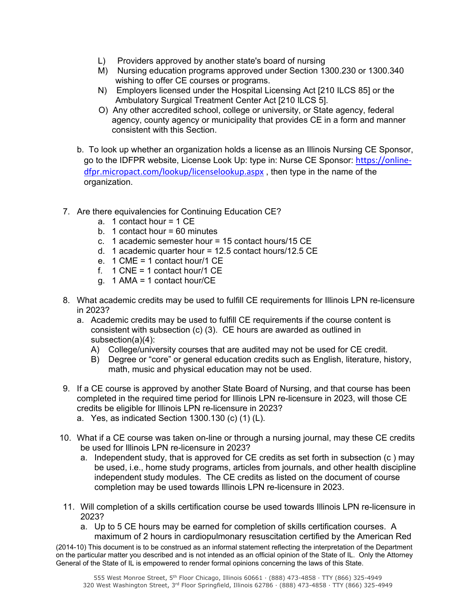- L) Providers approved by another state's board of nursing
- M) Nursing education programs approved under Section 1300.230 or 1300.340 wishing to offer CE courses or programs.
- N) Employers licensed under the Hospital Licensing Act [210 ILCS 85] or the Ambulatory Surgical Treatment Center Act [210 ILCS 5].
- O) Any other accredited school, college or university, or State agency, federal agency, county agency or municipality that provides CE in a form and manner consistent with this Section.
- b. To look up whether an organization holds a license as an Illinois Nursing CE Sponsor, go to the IDFPR website, License Look Up: type in: Nurse CE Sponsor: https://onlinedfpr.micropact.com/lookup/licenselookup.aspx , then type in the name of the organization.
- 7. Are there equivalencies for Continuing Education CE?
	- a. 1 contact hour = 1 CE
	- b. 1 contact hour  $= 60$  minutes
	- c. 1 academic semester hour = 15 contact hours/15 CE
	- d. 1 academic quarter hour = 12.5 contact hours/12.5 CE
	- e. 1 CME = 1 contact hour/1 CE
	- f.  $1$  CNE = 1 contact hour/1 CE
	- g. 1 AMA = 1 contact hour/CE
- 8. What academic credits may be used to fulfill CE requirements for Illinois LPN re-licensure in 2023?
	- a. Academic credits may be used to fulfill CE requirements if the course content is consistent with subsection (c) (3). CE hours are awarded as outlined in subsection(a)(4):
		- A) College/university courses that are audited may not be used for CE credit.
		- B) Degree or "core" or general education credits such as English, literature, history, math, music and physical education may not be used.
- 9. If a CE course is approved by another State Board of Nursing, and that course has been completed in the required time period for Illinois LPN re-licensure in 2023, will those CE credits be eligible for Illinois LPN re-licensure in 2023? a. Yes, as indicated Section 1300.130 (c) (1) (L).
- 10. What if a CE course was taken on-line or through a nursing journal, may these CE credits be used for Illinois LPN re-licensure in 2023?
	- a. Independent study, that is approved for CE credits as set forth in subsection (c ) may be used, i.e., home study programs, articles from journals, and other health discipline independent study modules. The CE credits as listed on the document of course completion may be used towards Illinois LPN re-licensure in 2023.
- 11. Will completion of a skills certification course be used towards Illinois LPN re-licensure in 2023?
	- a. Up to 5 CE hours may be earned for completion of skills certification courses. A maximum of 2 hours in cardiopulmonary resuscitation certified by the American Red